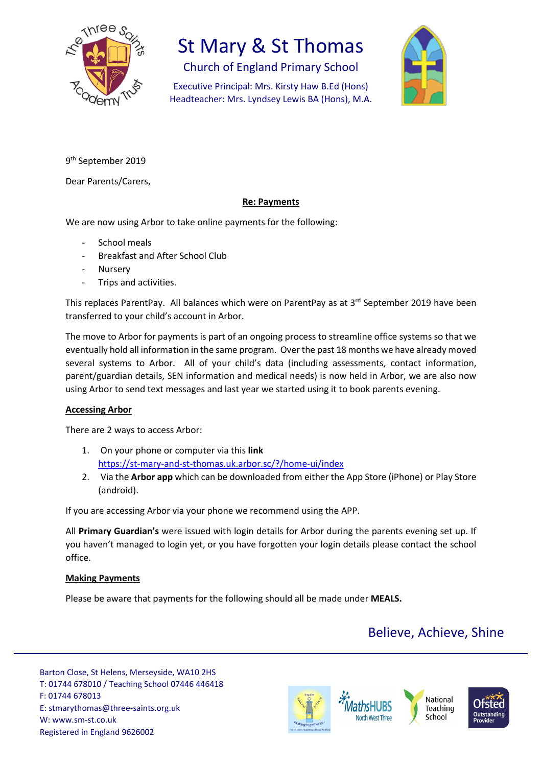

## St Mary & St Thomas

Church of England Primary School

Executive Principal: Mrs. Kirsty Haw B.Ed (Hons) Headteacher: Mrs. Lyndsey Lewis BA (Hons), M.A.



9<sup>th</sup> September 2019

Dear Parents/Carers,

#### **Re: Payments**

We are now using Arbor to take online payments for the following:

- School meals
- Breakfast and After School Club
- **Nursery**
- Trips and activities.

This replaces ParentPay. All balances which were on ParentPay as at 3<sup>rd</sup> September 2019 have been transferred to your child's account in Arbor.

The move to Arbor for payments is part of an ongoing process to streamline office systems so that we eventually hold all information in the same program. Over the past 18 months we have already moved several systems to Arbor. All of your child's data (including assessments, contact information, parent/guardian details, SEN information and medical needs) is now held in Arbor, we are also now using Arbor to send text messages and last year we started using it to book parents evening.

#### **Accessing Arbor**

There are 2 ways to access Arbor:

- 1. On your phone or computer via this **link** <https://st-mary-and-st-thomas.uk.arbor.sc/?/home-ui/index>
- 2. Via the **Arbor app** which can be downloaded from either the App Store (iPhone) or Play Store (android).

If you are accessing Arbor via your phone we recommend using the APP.

All **Primary Guardian's** were issued with login details for Arbor during the parents evening set up. If you haven't managed to login yet, or you have forgotten your login details please contact the school office.

#### **Making Payments**

Please be aware that payments for the following should all be made under **MEALS.**

### Believe, Achieve, Shine

Barton Close, St Helens, Merseyside, WA10 2HS T: 01744 678010 / Teaching School 07446 446418 F: 01744 678013 E: stmarythomas@three-saints.org.uk W: www.sm-st.co.uk Registered in England 9626002







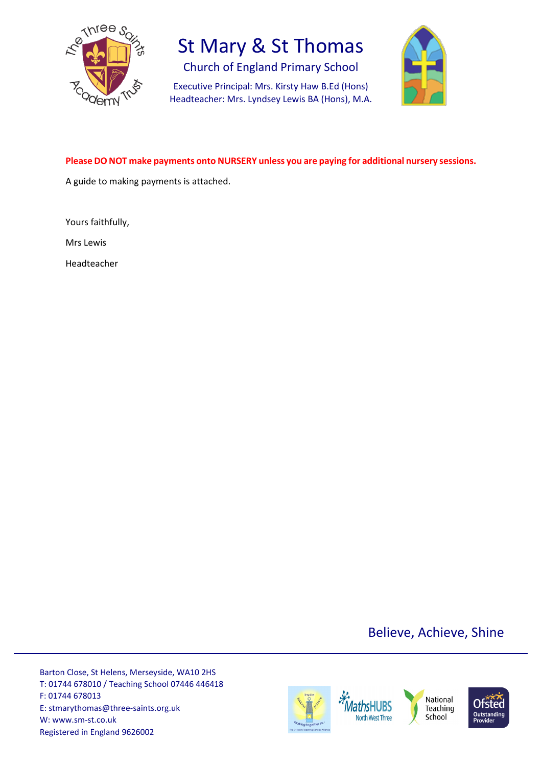

## St Mary & St Thomas

Church of England Primary School

Executive Principal: Mrs. Kirsty Haw B.Ed (Hons) Headteacher: Mrs. Lyndsey Lewis BA (Hons), M.A.



#### **Please DO NOT make payments onto NURSERY unless you are paying for additional nursery sessions.**

A guide to making payments is attached.

Yours faithfully,

Mrs Lewis

Headteacher

Believe, Achieve, Shine

Barton Close, St Helens, Merseyside, WA10 2HS T: 01744 678010 / Teaching School 07446 446418 F: 01744 678013 E: stmarythomas@three-saints.org.uk W: www.sm-st.co.uk Registered in England 9626002

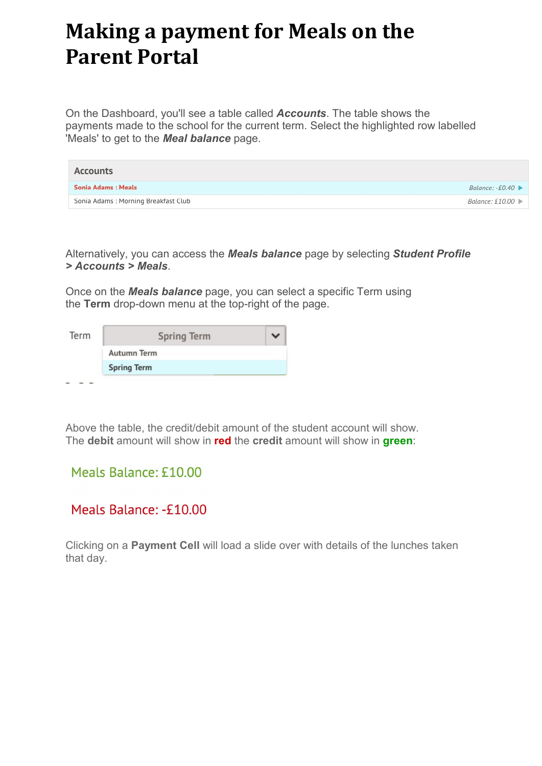# **Making a payment for Meals on the Parent Portal**

On the Dashboard, you'll see a table called *Accounts*. The table shows the payments made to the school for the current term. Select the highlighted row labelled 'Meals' to get to the *Meal balance* page.

| Accounts                            |                                       |
|-------------------------------------|---------------------------------------|
| Sonia Adams: Meals                  | Balance: $-£0.40 \rightarrow$         |
| Sonia Adams: Morning Breakfast Club | Balance: £10.00 $\blacktriangleright$ |

Alternatively, you can access the *Meals balance* page by selecting *Student Profile > Accounts > Meals*.

Once on the *Meals balance* page, you can select a specific Term using the **Term** drop-down menu at the top-right of the page.

| Term | <b>Spring Term</b> |  |
|------|--------------------|--|
|      | <b>Autumn Term</b> |  |
|      | <b>Spring Term</b> |  |

Above the table, the credit/debit amount of the student account will show. The **debit** amount will show in **red** the **credit** amount will show in **green**:

### Meals Balance: £10.00

### Meals Balance: -£10.00

Clicking on a **Payment Cell** will load a slide over with details of the lunches taken that day.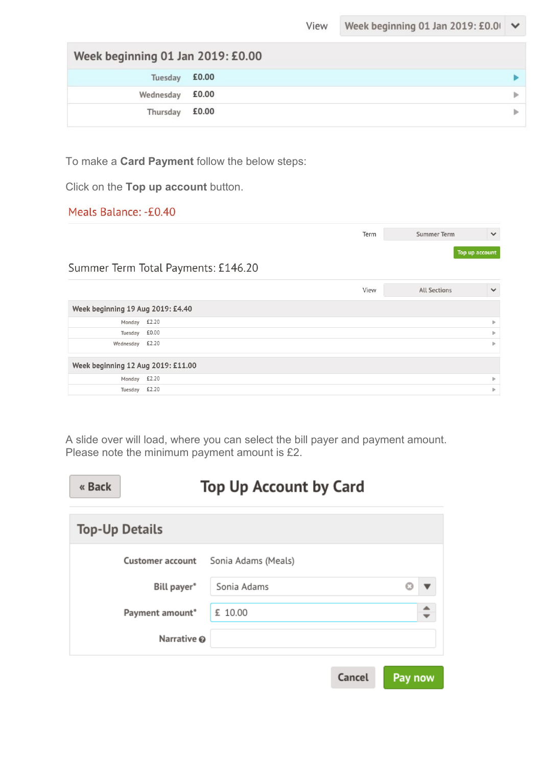| Week beginning 01 Jan 2019: £0.00 |       |   |  |  |
|-----------------------------------|-------|---|--|--|
| Tuesday £0.00                     |       |   |  |  |
| Wednesday £0.00                   |       | ь |  |  |
| Thursday                          | £0.00 | ь |  |  |

To make a **Card Payment** follow the below steps:

Click on the **Top up account** button.

#### Meals Balance: -£0.40

|                                    |                                     | Term | Summer Term         | $\checkmark$   |
|------------------------------------|-------------------------------------|------|---------------------|----------------|
|                                    |                                     |      |                     | Top up account |
|                                    | Summer Term Total Payments: £146.20 |      |                     |                |
|                                    |                                     | View | <b>All Sections</b> | $\checkmark$   |
| Week beginning 19 Aug 2019: £4.40  |                                     |      |                     |                |
| Monday £2.20                       |                                     |      |                     | ь              |
| Tuesday                            | £0.00                               |      |                     | ь              |
| Wednesday                          | £2.20                               |      |                     | ь              |
| Week beginning 12 Aug 2019: £11.00 |                                     |      |                     |                |
| Monday                             | £2.20                               |      |                     | ь              |
| Tuesday                            | £2.20                               |      |                     | Þ              |

A slide over will load, where you can select the bill payer and payment amount. Please note the minimum payment amount is £2.

| « Back | <b>Top Up Account by Card</b> |                     |        |         |
|--------|-------------------------------|---------------------|--------|---------|
|        | <b>Top-Up Details</b>         |                     |        |         |
|        | <b>Customer account</b>       | Sonia Adams (Meals) |        |         |
|        | Bill payer*                   | Sonia Adams         |        |         |
|        | Payment amount*               | £ 10.00             |        |         |
|        | Narrative @                   |                     |        |         |
|        |                               |                     | Cancel | Pay now |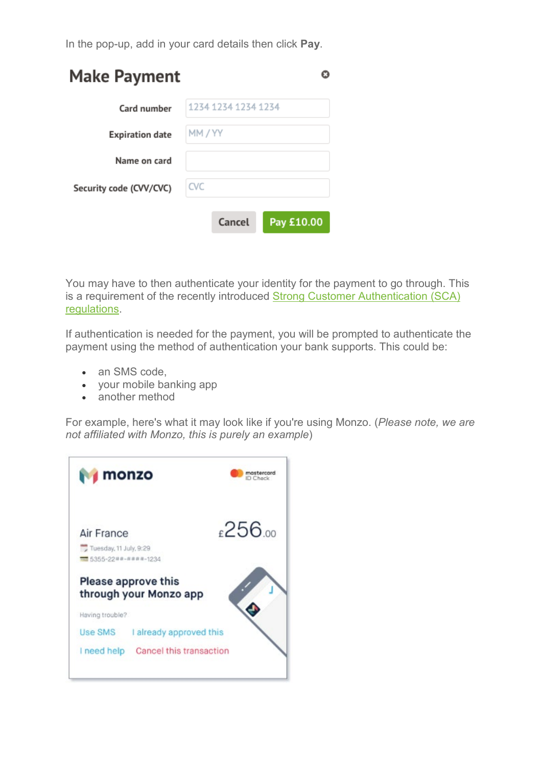In the pop-up, add in your card details then click **Pay**.

| <b>Make Payment</b>     |                     |        |  |            |  |
|-------------------------|---------------------|--------|--|------------|--|
| Card number             | 1234 1234 1234 1234 |        |  |            |  |
| <b>Expiration date</b>  | MM / YY             |        |  |            |  |
| Name on card            |                     |        |  |            |  |
| Security code (CVV/CVC) | <b>CVC</b>          |        |  |            |  |
|                         |                     | Cancel |  | Pay £10.00 |  |

You may have to then authenticate your identity for the payment to go through. This is a requirement of the recently introduced [Strong Customer Authentication \(SCA\)](https://support.arbor-education.com/hc/en-us/articles/360033832793-Updates-to-Card-Payment-Authentication)  [regulations.](https://support.arbor-education.com/hc/en-us/articles/360033832793-Updates-to-Card-Payment-Authentication)

If authentication is needed for the payment, you will be prompted to authenticate the payment using the method of authentication your bank supports. This could be:

- an SMS code,
- your mobile banking app
- another method

For example, here's what it may look like if you're using Monzo. (*Please note, we are not affiliated with Monzo, this is purely an example*)